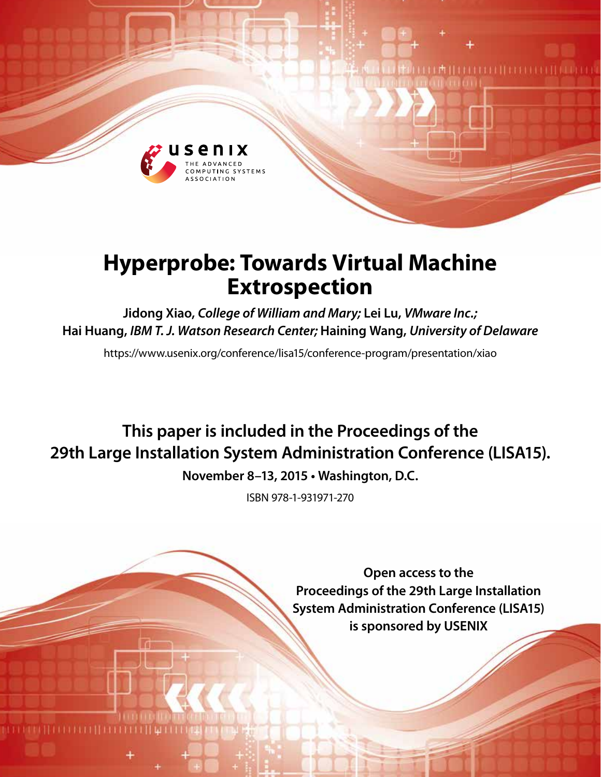

# **Hyperprobe: Towards Virtual Machine Extrospection**

**Jidong Xiao,** *College of William and Mary;* **Lei Lu,** *VMware Inc.;* **Hai Huang,** *IBM T. J. Watson Research Center;* **Haining Wang,** *University of Delaware*

https://www.usenix.org/conference/lisa15/conference-program/presentation/xiao

## **This paper is included in the Proceedings of the 29th Large Installation System Administration Conference (LISA15).**

**November 8–13, 2015 • Washington, D.C.**

ISBN 978-1-931971-270

**Open access to the Proceedings of the 29th Large Installation System Administration Conference (LISA15) is sponsored by USENIX**

**THEFFITEFFEE**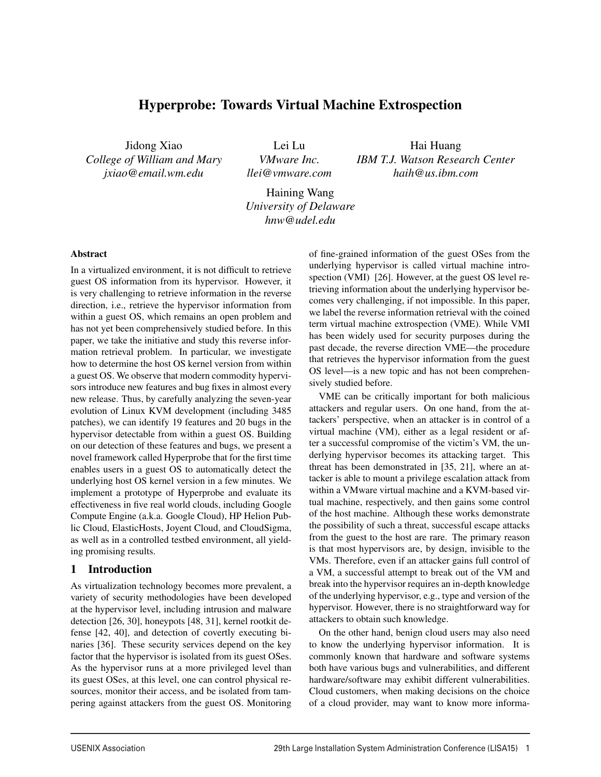## Hyperprobe: Towards Virtual Machine Extrospection

Jidong Xiao *College of William and Mary [jxiao@email.wm.edu](mailto:jxiao@email.wm.edu)*

Lei Lu *VMware Inc. [llei@vmware.com](mailto:llei@vmware.com)*

Hai Huang *IBM T.J. Watson Research Center [haih@us.ibm.com](mailto:haih@us.ibm.com)*

Haining Wang *University of Delaware [hnw@udel.edu](mailto:hnw@udel.edu)*

#### Abstract

In a virtualized environment, it is not difficult to retrieve guest OS information from its hypervisor. However, it is very challenging to retrieve information in the reverse direction, i.e., retrieve the hypervisor information from within a guest OS, which remains an open problem and has not yet been comprehensively studied before. In this paper, we take the initiative and study this reverse information retrieval problem. In particular, we investigate how to determine the host OS kernel version from within a guest OS. We observe that modern commodity hypervisors introduce new features and bug fixes in almost every new release. Thus, by carefully analyzing the seven-year evolution of Linux KVM development (including 3485 patches), we can identify 19 features and 20 bugs in the hypervisor detectable from within a guest OS. Building on our detection of these features and bugs, we present a novel framework called Hyperprobe that for the first time enables users in a guest OS to automatically detect the underlying host OS kernel version in a few minutes. We implement a prototype of Hyperprobe and evaluate its effectiveness in five real world clouds, including Google Compute Engine (a.k.a. Google Cloud), HP Helion Public Cloud, ElasticHosts, Joyent Cloud, and CloudSigma, as well as in a controlled testbed environment, all yielding promising results.

## 1 Introduction

As virtualization technology becomes more prevalent, a variety of security methodologies have been developed at the hypervisor level, including intrusion and malware detection [26, 30], honeypots [48, 31], kernel rootkit defense [42, 40], and detection of covertly executing binaries [36]. These security services depend on the key factor that the hypervisor is isolated from its guest OSes. As the hypervisor runs at a more privileged level than its guest OSes, at this level, one can control physical resources, monitor their access, and be isolated from tampering against attackers from the guest OS. Monitoring of fine-grained information of the guest OSes from the underlying hypervisor is called virtual machine introspection (VMI) [26]. However, at the guest OS level retrieving information about the underlying hypervisor becomes very challenging, if not impossible. In this paper, we label the reverse information retrieval with the coined term virtual machine extrospection (VME). While VMI has been widely used for security purposes during the past decade, the reverse direction VME—the procedure that retrieves the hypervisor information from the guest OS level—is a new topic and has not been comprehensively studied before.

VME can be critically important for both malicious attackers and regular users. On one hand, from the attackers' perspective, when an attacker is in control of a virtual machine (VM), either as a legal resident or after a successful compromise of the victim's VM, the underlying hypervisor becomes its attacking target. This threat has been demonstrated in [35, 21], where an attacker is able to mount a privilege escalation attack from within a VMware virtual machine and a KVM-based virtual machine, respectively, and then gains some control of the host machine. Although these works demonstrate the possibility of such a threat, successful escape attacks from the guest to the host are rare. The primary reason is that most hypervisors are, by design, invisible to the VMs. Therefore, even if an attacker gains full control of a VM, a successful attempt to break out of the VM and break into the hypervisor requires an in-depth knowledge of the underlying hypervisor, e.g., type and version of the hypervisor. However, there is no straightforward way for attackers to obtain such knowledge.

On the other hand, benign cloud users may also need to know the underlying hypervisor information. It is commonly known that hardware and software systems both have various bugs and vulnerabilities, and different hardware/software may exhibit different vulnerabilities. Cloud customers, when making decisions on the choice of a cloud provider, may want to know more informa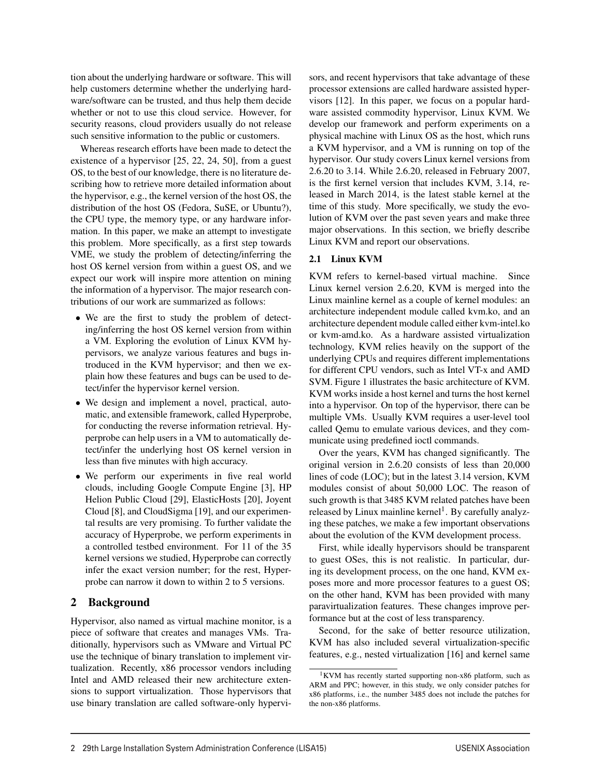tion about the underlying hardware or software. This will help customers determine whether the underlying hardware/software can be trusted, and thus help them decide whether or not to use this cloud service. However, for security reasons, cloud providers usually do not release such sensitive information to the public or customers.

Whereas research efforts have been made to detect the existence of a hypervisor [25, 22, 24, 50], from a guest OS, to the best of our knowledge, there is no literature describing how to retrieve more detailed information about the hypervisor, e.g., the kernel version of the host OS, the distribution of the host OS (Fedora, SuSE, or Ubuntu?), the CPU type, the memory type, or any hardware information. In this paper, we make an attempt to investigate this problem. More specifically, as a first step towards VME, we study the problem of detecting/inferring the host OS kernel version from within a guest OS, and we expect our work will inspire more attention on mining the information of a hypervisor. The major research contributions of our work are summarized as follows:

- We are the first to study the problem of detecting/inferring the host OS kernel version from within a VM. Exploring the evolution of Linux KVM hypervisors, we analyze various features and bugs introduced in the KVM hypervisor; and then we explain how these features and bugs can be used to detect/infer the hypervisor kernel version.
- We design and implement a novel, practical, automatic, and extensible framework, called Hyperprobe, for conducting the reverse information retrieval. Hyperprobe can help users in a VM to automatically detect/infer the underlying host OS kernel version in less than five minutes with high accuracy.
- We perform our experiments in five real world clouds, including Google Compute Engine [3], HP Helion Public Cloud [29], ElasticHosts [20], Joyent Cloud [8], and CloudSigma [19], and our experimental results are very promising. To further validate the accuracy of Hyperprobe, we perform experiments in a controlled testbed environment. For 11 of the 35 kernel versions we studied, Hyperprobe can correctly infer the exact version number; for the rest, Hyperprobe can narrow it down to within 2 to 5 versions.

## 2 Background

Hypervisor, also named as virtual machine monitor, is a piece of software that creates and manages VMs. Traditionally, hypervisors such as VMware and Virtual PC use the technique of binary translation to implement virtualization. Recently, x86 processor vendors including Intel and AMD released their new architecture extensions to support virtualization. Those hypervisors that use binary translation are called software-only hypervisors, and recent hypervisors that take advantage of these processor extensions are called hardware assisted hypervisors [12]. In this paper, we focus on a popular hardware assisted commodity hypervisor, Linux KVM. We develop our framework and perform experiments on a physical machine with Linux OS as the host, which runs a KVM hypervisor, and a VM is running on top of the hypervisor. Our study covers Linux kernel versions from 2.6.20 to 3.14. While 2.6.20, released in February 2007, is the first kernel version that includes KVM, 3.14, released in March 2014, is the latest stable kernel at the time of this study. More specifically, we study the evolution of KVM over the past seven years and make three major observations. In this section, we briefly describe Linux KVM and report our observations.

## 2.1 Linux KVM

KVM refers to kernel-based virtual machine. Since Linux kernel version 2.6.20, KVM is merged into the Linux mainline kernel as a couple of kernel modules: an architecture independent module called kvm.ko, and an architecture dependent module called either kvm-intel.ko or kvm-amd.ko. As a hardware assisted virtualization technology, KVM relies heavily on the support of the underlying CPUs and requires different implementations for different CPU vendors, such as Intel VT-x and AMD SVM. Figure 1 illustrates the basic architecture of KVM. KVM works inside a host kernel and turns the host kernel into a hypervisor. On top of the hypervisor, there can be multiple VMs. Usually KVM requires a user-level tool called Qemu to emulate various devices, and they communicate using predefined ioctl commands.

Over the years, KVM has changed significantly. The original version in 2.6.20 consists of less than 20,000 lines of code (LOC); but in the latest 3.14 version, KVM modules consist of about 50,000 LOC. The reason of such growth is that 3485 KVM related patches have been released by Linux mainline kernel<sup>1</sup>. By carefully analyzing these patches, we make a few important observations about the evolution of the KVM development process.

First, while ideally hypervisors should be transparent to guest OSes, this is not realistic. In particular, during its development process, on the one hand, KVM exposes more and more processor features to a guest OS; on the other hand, KVM has been provided with many paravirtualization features. These changes improve performance but at the cost of less transparency.

Second, for the sake of better resource utilization, KVM has also included several virtualization-specific features, e.g., nested virtualization [16] and kernel same

<sup>1</sup>KVM has recently started supporting non-x86 platform, such as ARM and PPC; however, in this study, we only consider patches for x86 platforms, i.e., the number 3485 does not include the patches for the non-x86 platforms.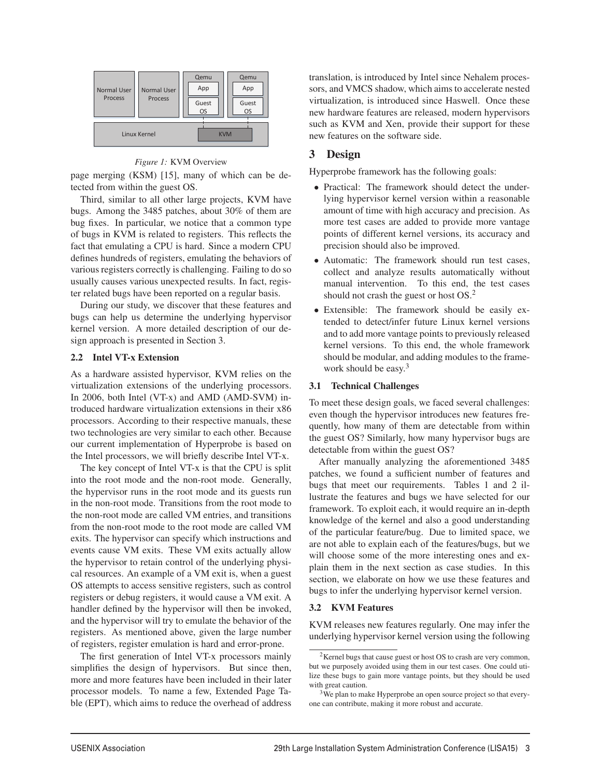| <b>Normal User</b> | Normal User    | Qemu<br>App        | Qemu<br>App        |
|--------------------|----------------|--------------------|--------------------|
| <b>Process</b>     | <b>Process</b> | Guest<br><b>OS</b> | Guest<br><b>OS</b> |
|                    | Linux Kernel   | <b>KVM</b>         |                    |

*Figure 1:* KVM Overview

page merging (KSM) [15], many of which can be detected from within the guest OS.

Third, similar to all other large projects, KVM have bugs. Among the 3485 patches, about 30% of them are bug fixes. In particular, we notice that a common type of bugs in KVM is related to registers. This reflects the fact that emulating a CPU is hard. Since a modern CPU defines hundreds of registers, emulating the behaviors of various registers correctly is challenging. Failing to do so usually causes various unexpected results. In fact, register related bugs have been reported on a regular basis.

During our study, we discover that these features and bugs can help us determine the underlying hypervisor kernel version. A more detailed description of our design approach is presented in Section 3.

### 2.2 Intel VT-x Extension

As a hardware assisted hypervisor, KVM relies on the virtualization extensions of the underlying processors. In 2006, both Intel (VT-x) and AMD (AMD-SVM) introduced hardware virtualization extensions in their x86 processors. According to their respective manuals, these two technologies are very similar to each other. Because our current implementation of Hyperprobe is based on the Intel processors, we will briefly describe Intel VT-x.

The key concept of Intel VT-x is that the CPU is split into the root mode and the non-root mode. Generally, the hypervisor runs in the root mode and its guests run in the non-root mode. Transitions from the root mode to the non-root mode are called VM entries, and transitions from the non-root mode to the root mode are called VM exits. The hypervisor can specify which instructions and events cause VM exits. These VM exits actually allow the hypervisor to retain control of the underlying physical resources. An example of a VM exit is, when a guest OS attempts to access sensitive registers, such as control registers or debug registers, it would cause a VM exit. A handler defined by the hypervisor will then be invoked, and the hypervisor will try to emulate the behavior of the registers. As mentioned above, given the large number of registers, register emulation is hard and error-prone.

The first generation of Intel VT-x processors mainly simplifies the design of hypervisors. But since then, more and more features have been included in their later processor models. To name a few, Extended Page Table (EPT), which aims to reduce the overhead of address translation, is introduced by Intel since Nehalem processors, and VMCS shadow, which aims to accelerate nested virtualization, is introduced since Haswell. Once these new hardware features are released, modern hypervisors such as KVM and Xen, provide their support for these new features on the software side.

## 3 Design

Hyperprobe framework has the following goals:

- Practical: The framework should detect the underlying hypervisor kernel version within a reasonable amount of time with high accuracy and precision. As more test cases are added to provide more vantage points of different kernel versions, its accuracy and precision should also be improved.
- Automatic: The framework should run test cases, collect and analyze results automatically without manual intervention. To this end, the test cases should not crash the guest or host  $OS<sup>2</sup>$ .
- Extensible: The framework should be easily extended to detect/infer future Linux kernel versions and to add more vantage points to previously released kernel versions. To this end, the whole framework should be modular, and adding modules to the framework should be easy. $3$

## 3.1 Technical Challenges

To meet these design goals, we faced several challenges: even though the hypervisor introduces new features frequently, how many of them are detectable from within the guest OS? Similarly, how many hypervisor bugs are detectable from within the guest OS?

After manually analyzing the aforementioned 3485 patches, we found a sufficient number of features and bugs that meet our requirements. Tables 1 and 2 illustrate the features and bugs we have selected for our framework. To exploit each, it would require an in-depth knowledge of the kernel and also a good understanding of the particular feature/bug. Due to limited space, we are not able to explain each of the features/bugs, but we will choose some of the more interesting ones and explain them in the next section as case studies. In this section, we elaborate on how we use these features and bugs to infer the underlying hypervisor kernel version.

## 3.2 KVM Features

3

KVM releases new features regularly. One may infer the underlying hypervisor kernel version using the following

<sup>&</sup>lt;sup>2</sup>Kernel bugs that cause guest or host OS to crash are very common, but we purposely avoided using them in our test cases. One could utilize these bugs to gain more vantage points, but they should be used with great caution.

<sup>&</sup>lt;sup>3</sup>We plan to make Hyperprobe an open source project so that everyone can contribute, making it more robust and accurate.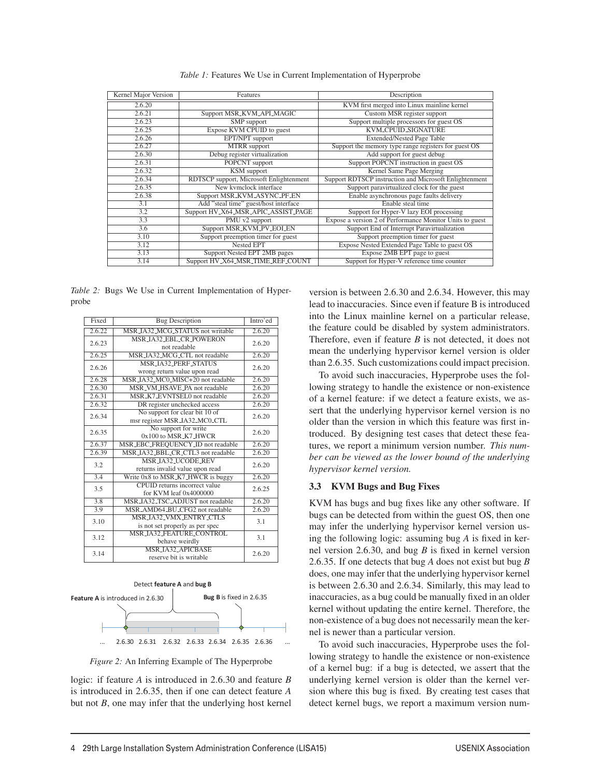| Kernel Major Version | Features                                | Description                                              |
|----------------------|-----------------------------------------|----------------------------------------------------------|
| 2.6.20               |                                         | KVM first merged into Linux mainline kernel              |
| 2.6.21               | Support MSR_KVM_API_MAGIC               | Custom MSR register support                              |
| 2.6.23               | SMP support                             | Support multiple processors for guest OS                 |
| 2.6.25               | Expose KVM CPUID to guest               | <b>KVM_CPUID_SIGNATURE</b>                               |
| 2.6.26               | EPT/NPT support                         | <b>Extended/Nested Page Table</b>                        |
| 2.6.27               | <b>MTRR</b> support                     | Support the memory type range registers for guest OS     |
| 2.6.30               | Debug register virtualization           | Add support for guest debug                              |
| 2.6.31               | POPCNT support                          | Support POPCNT instruction in guest OS                   |
| 2.6.32               | <b>KSM</b> support                      | Kernel Same Page Merging                                 |
| 2.6.34               | RDTSCP support, Microsoft Enlightenment | Support RDTSCP instruction and Microsoft Enlightenment   |
| 2.6.35               | New kymclock interface                  | Support paravirtualized clock for the guest              |
| 2.6.38               | Support MSR_KVM_ASYNC_PF_EN             | Enable asynchronous page faults delivery                 |
| 3.1                  | Add "steal time" guest/host interface   | Enable steal time                                        |
| 3.2                  | Support HV_X64_MSR_APIC_ASSIST_PAGE     | Support for Hyper-V lazy EOI processing                  |
| 3.3                  | PMU v2 support                          | Expose a version 2 of Performance Monitor Units to guest |
| 3.6                  | Support MSR_KVM_PV_EOI_EN               | Support End of Interrupt Paravirtualization              |
| 3.10                 | Support preemption timer for guest      | Support preemption timer for guest                       |
| 3.12                 | Nested EPT                              | Expose Nested Extended Page Table to guest OS            |
| 3.13                 | Support Nested EPT 2MB pages            | Expose 2MB EPT page to guest                             |
| 3.14                 | Support HV_X64_MSR_TIME_REF_COUNT       | Support for Hyper-V reference time counter               |

*Table 1:* Features We Use in Current Implementation of Hyperprobe

*Table 2:* Bugs We Use in Current Implementation of Hyperprobe

| Fixed  | <b>Bug Description</b>                                          | Intro'ed |  |  |
|--------|-----------------------------------------------------------------|----------|--|--|
| 2.6.22 | MSR_IA32_MCG_STATUS not writable                                | 2.6.20   |  |  |
| 2.6.23 | <b>MSR_IA32_EBL_CR_POWERON</b><br>not readable                  |          |  |  |
| 2.6.25 | MSR_IA32_MCG_CTL not readable                                   | 2.6.20   |  |  |
| 2.6.26 | <b>MSR_IA32_PERE_STATUS</b><br>wrong return value upon read     | 2.6.20   |  |  |
| 2.6.28 | MSR_IA32_MC0_MISC+20 not readable                               | 2.6.20   |  |  |
| 2.6.30 | MSR_VM_HSAVE_PA not readable                                    | 2.6.20   |  |  |
| 2.6.31 | MSR_K7_EVNTSEL0 not readable                                    | 2.6.20   |  |  |
| 2.6.32 | DR register unchecked access                                    | 2.6.20   |  |  |
| 2.6.34 | No support for clear bit 10 of<br>msr register MSR_IA32_MC0_CTL | 2.6.20   |  |  |
| 2.6.35 | No support for write<br>0x100 to MSR_K7_HWCR                    |          |  |  |
| 2.6.37 | MSR_EBC_FREQUENCY_ID not readable                               | 2.6.20   |  |  |
| 2.6.39 | MSR_IA32_BBL_CR_CTL3 not readable                               | 2.6.20   |  |  |
| 3.2    | <b>MSR_IA32_UCODE_REV</b><br>returns invalid value upon read    | 2.6.20   |  |  |
| 3.4    | Write 0x8 to MSR_K7_HWCR is buggy                               | 2.6.20   |  |  |
| 3.5    | CPUID returns incorrect value<br>for KVM leaf 0x4000000         | 2.6.25   |  |  |
| 3.8    | MSR_IA32_TSC_ADJUST not readable                                | 2.6.20   |  |  |
| 3.9    | MSR_AMD64_BU_CFG2 not readable                                  | 2.6.20   |  |  |
| 3.10   | MSR_JA32_VMX_ENTRY_CTLS<br>is not set properly as per spec      | 3.1      |  |  |
| 3.12   | <b>MSR_IA32_FEATURE_CONTROL</b><br>behave weirdly               | 3.1      |  |  |
| 3.14   | <b>MSR_JA32_APICBASE</b><br>reserve bit is writable             | 2.6.20   |  |  |



*Figure 2:* An Inferring Example of The Hyperprobe

logic: if feature *A* is introduced in 2.6.30 and feature *B* is introduced in 2.6.35, then if one can detect feature *A* but not *B*, one may infer that the underlying host kernel version is between 2.6.30 and 2.6.34. However, this may lead to inaccuracies. Since even if feature B is introduced into the Linux mainline kernel on a particular release, the feature could be disabled by system administrators. Therefore, even if feature *B* is not detected, it does not mean the underlying hypervisor kernel version is older than 2.6.35. Such customizations could impact precision.

To avoid such inaccuracies, Hyperprobe uses the following strategy to handle the existence or non-existence of a kernel feature: if we detect a feature exists, we assert that the underlying hypervisor kernel version is no older than the version in which this feature was first introduced. By designing test cases that detect these features, we report a minimum version number. *This number can be viewed as the lower bound of the underlying hypervisor kernel version.*

## 3.3 KVM Bugs and Bug Fixes

KVM has bugs and bug fixes like any other software. If bugs can be detected from within the guest OS, then one may infer the underlying hypervisor kernel version using the following logic: assuming bug *A* is fixed in kernel version 2.6.30, and bug *B* is fixed in kernel version 2.6.35. If one detects that bug *A* does not exist but bug *B* does, one may infer that the underlying hypervisor kernel is between 2.6.30 and 2.6.34. Similarly, this may lead to inaccuracies, as a bug could be manually fixed in an older kernel without updating the entire kernel. Therefore, the non-existence of a bug does not necessarily mean the kernel is newer than a particular version.

To avoid such inaccuracies, Hyperprobe uses the following strategy to handle the existence or non-existence of a kernel bug: if a bug is detected, we assert that the underlying kernel version is older than the kernel version where this bug is fixed. By creating test cases that detect kernel bugs, we report a maximum version num-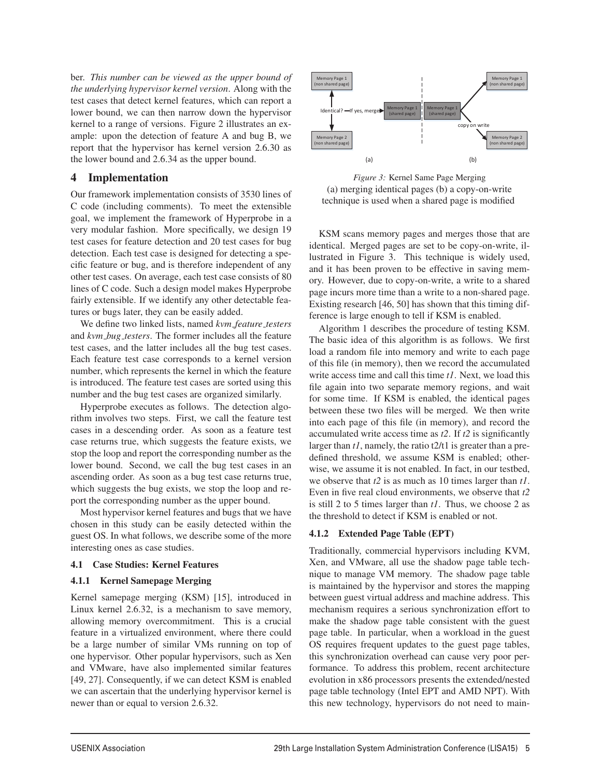ber. *This number can be viewed as the upper bound of the underlying hypervisor kernel version*. Along with the test cases that detect kernel features, which can report a lower bound, we can then narrow down the hypervisor kernel to a range of versions. Figure 2 illustrates an example: upon the detection of feature A and bug B, we report that the hypervisor has kernel version 2.6.30 as the lower bound and 2.6.34 as the upper bound.

## 4 Implementation

Our framework implementation consists of 3530 lines of C code (including comments). To meet the extensible goal, we implement the framework of Hyperprobe in a very modular fashion. More specifically, we design 19 test cases for feature detection and 20 test cases for bug detection. Each test case is designed for detecting a specific feature or bug, and is therefore independent of any other test cases. On average, each test case consists of 80 lines of C code. Such a design model makes Hyperprobe fairly extensible. If we identify any other detectable features or bugs later, they can be easily added.

We define two linked lists, named *kvm feature testers* and *kvm bug testers*. The former includes all the feature test cases, and the latter includes all the bug test cases. Each feature test case corresponds to a kernel version number, which represents the kernel in which the feature is introduced. The feature test cases are sorted using this number and the bug test cases are organized similarly.

Hyperprobe executes as follows. The detection algorithm involves two steps. First, we call the feature test cases in a descending order. As soon as a feature test case returns true, which suggests the feature exists, we stop the loop and report the corresponding number as the lower bound. Second, we call the bug test cases in an ascending order. As soon as a bug test case returns true, which suggests the bug exists, we stop the loop and report the corresponding number as the upper bound.

Most hypervisor kernel features and bugs that we have chosen in this study can be easily detected within the guest OS. In what follows, we describe some of the more interesting ones as case studies.

#### 4.1 Case Studies: Kernel Features

#### 4.1.1 Kernel Samepage Merging

Kernel samepage merging (KSM) [15], introduced in Linux kernel 2.6.32, is a mechanism to save memory, allowing memory overcommitment. This is a crucial feature in a virtualized environment, where there could be a large number of similar VMs running on top of one hypervisor. Other popular hypervisors, such as Xen and VMware, have also implemented similar features [49, 27]. Consequently, if we can detect KSM is enabled we can ascertain that the underlying hypervisor kernel is newer than or equal to version 2.6.32.



*Figure 3:* Kernel Same Page Merging (a) merging identical pages (b) a copy-on-write technique is used when a shared page is modified

KSM scans memory pages and merges those that are identical. Merged pages are set to be copy-on-write, illustrated in Figure 3. This technique is widely used, and it has been proven to be effective in saving memory. However, due to copy-on-write, a write to a shared page incurs more time than a write to a non-shared page. Existing research [46, 50] has shown that this timing difference is large enough to tell if KSM is enabled.

Algorithm 1 describes the procedure of testing KSM. The basic idea of this algorithm is as follows. We first load a random file into memory and write to each page of this file (in memory), then we record the accumulated write access time and call this time *t1*. Next, we load this file again into two separate memory regions, and wait for some time. If KSM is enabled, the identical pages between these two files will be merged. We then write into each page of this file (in memory), and record the accumulated write access time as *t2*. If *t2* is significantly larger than *t1*, namely, the ratio t2/t1 is greater than a predefined threshold, we assume KSM is enabled; otherwise, we assume it is not enabled. In fact, in our testbed, we observe that *t2* is as much as 10 times larger than *t1*. Even in five real cloud environments, we observe that *t2* is still 2 to 5 times larger than *t1*. Thus, we choose 2 as the threshold to detect if KSM is enabled or not.

## 4.1.2 Extended Page Table (EPT)

Traditionally, commercial hypervisors including KVM, Xen, and VMware, all use the shadow page table technique to manage VM memory. The shadow page table is maintained by the hypervisor and stores the mapping between guest virtual address and machine address. This mechanism requires a serious synchronization effort to make the shadow page table consistent with the guest page table. In particular, when a workload in the guest OS requires frequent updates to the guest page tables, this synchronization overhead can cause very poor performance. To address this problem, recent architecture evolution in x86 processors presents the extended/nested page table technology (Intel EPT and AMD NPT). With this new technology, hypervisors do not need to main-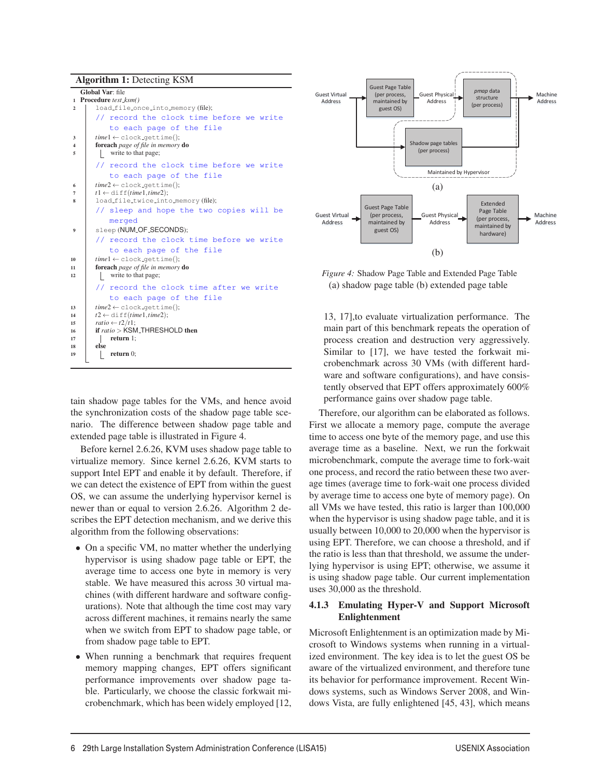Algorithm 1: Detecting KSM

|                  | Global Var: file                                         |
|------------------|----------------------------------------------------------|
|                  | 1 Procedure test_ksm()                                   |
| $\overline{2}$   | load_file_once_into_memory(file);                        |
|                  | // record the clock time before we write                 |
|                  | to each page of the file                                 |
| 3                | $time1 \leftarrow clock_qettime();$                      |
| $\Delta$         | foreach page of file in memory do                        |
| 5                | write to that page;                                      |
|                  | // record the clock time before we write                 |
|                  | to each page of the file                                 |
| 6                | $time2 \leftarrow clock_qettime();$                      |
| 7                | $t1 \leftarrow \text{diff}(\text{time1}, \text{time2});$ |
| 8                | load_file_twice_into_memory(file);                       |
|                  | // sleep and hope the two copies will be                 |
|                  | merged                                                   |
| $\boldsymbol{9}$ | sleep (NUM_OF_SECONDS);                                  |
|                  | // record the clock time before we write                 |
|                  | to each page of the file                                 |
| 10               | $time1 \leftarrow clock_qettime();$                      |
| 11               | foreach page of file in memory do                        |
| 12               | write to that page;                                      |
|                  | // record the clock time after we write                  |
|                  | to each page of the file                                 |
| 13               | $time2 \leftarrow clock_q$ ettime();                     |
| 14               | $t2 \leftarrow \text{diff}(\text{time1}, \text{time2});$ |
| 15               | ratio $\leftarrow t2/t1$ ;                               |
| 16               | if $ratio > KSM$ THRESHOLD then                          |
| 17               | return $1$ ;                                             |
| 18               | else                                                     |
| 19               | return $0$ :                                             |
|                  |                                                          |

tain shadow page tables for the VMs, and hence avoid the synchronization costs of the shadow page table scenario. The difference between shadow page table and extended page table is illustrated in Figure 4.

Before kernel 2.6.26, KVM uses shadow page table to virtualize memory. Since kernel 2.6.26, KVM starts to support Intel EPT and enable it by default. Therefore, if we can detect the existence of EPT from within the guest OS, we can assume the underlying hypervisor kernel is newer than or equal to version 2.6.26. Algorithm 2 describes the EPT detection mechanism, and we derive this algorithm from the following observations:

- On a specific VM, no matter whether the underlying hypervisor is using shadow page table or EPT, the average time to access one byte in memory is very stable. We have measured this across 30 virtual machines (with different hardware and software configurations). Note that although the time cost may vary across different machines, it remains nearly the same when we switch from EPT to shadow page table, or from shadow page table to EPT.
- When running a benchmark that requires frequent memory mapping changes, EPT offers significant performance improvements over shadow page table. Particularly, we choose the classic forkwait microbenchmark, which has been widely employed [12,



(a) shadow page table (b) extended page table *Figure 4:* Shadow Page Table and Extended Page Table

process creation and destruction very aggressively. Similar to  $[17]$ , we have tested the forkwait miware and software configurations), and have consis-13, 17],to evaluate virtualization performance. The main part of this benchmark repeats the operation of crobenchmark across 30 VMs (with different hardtently observed that EPT offers approximately 600% performance gains over shadow page table.

Therefore, our algorithm can be elaborated as follows. First we allocate a memory page, compute the average time to access one byte of the memory page, and use this average time as a baseline. Next, we run the forkwait microbenchmark, compute the average time to fork-wait one process, and record the ratio between these two average times (average time to fork-wait one process divided by average time to access one byte of memory page). On all VMs we have tested, this ratio is larger than 100,000 when the hypervisor is using shadow page table, and it is usually between 10,000 to 20,000 when the hypervisor is using EPT. Therefore, we can choose a threshold, and if the ratio is less than that threshold, we assume the underlying hypervisor is using EPT; otherwise, we assume it is using shadow page table. Our current implementation uses 30,000 as the threshold.

## 4.1.3 Emulating Hyper-V and Support Microsoft Enlightenment

Microsoft Enlightenment is an optimization made by Microsoft to Windows systems when running in a virtualized environment. The key idea is to let the guest OS be aware of the virtualized environment, and therefore tune its behavior for performance improvement. Recent Windows systems, such as Windows Server 2008, and Windows Vista, are fully enlightened [45, 43], which means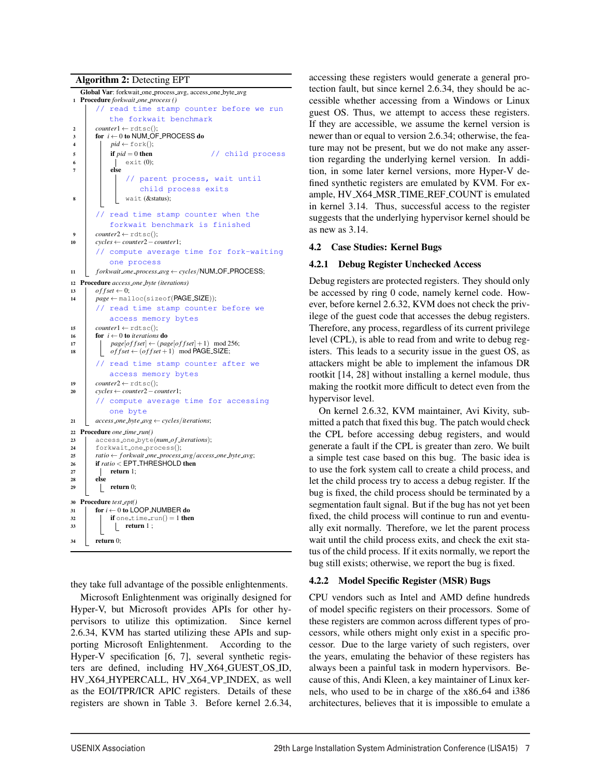Algorithm 2: Detecting EPT



they take full advantage of the possible enlightenments.

Microsoft Enlightenment was originally designed for Hyper-V, but Microsoft provides APIs for other hypervisors to utilize this optimization. Since kernel 2.6.34, KVM has started utilizing these APIs and supporting Microsoft Enlightenment. According to the Hyper-V specification [6, 7], several synthetic registers are defined, including HV X64 GUEST OS ID, HV X64 HYPERCALL, HV X64 VP INDEX, as well as the EOI/TPR/ICR APIC registers. Details of these registers are shown in Table 3. Before kernel 2.6.34, accessing these registers would generate a general protection fault, but since kernel 2.6.34, they should be accessible whether accessing from a Windows or Linux guest OS. Thus, we attempt to access these registers. If they are accessible, we assume the kernel version is newer than or equal to version 2.6.34; otherwise, the feature may not be present, but we do not make any assertion regarding the underlying kernel version. In addition, in some later kernel versions, more Hyper-V defined synthetic registers are emulated by KVM. For example, HV X64 MSR TIME REF COUNT is emulated in kernel 3.14. Thus, successful access to the register suggests that the underlying hypervisor kernel should be as new as 3.14.

### 4.2 Case Studies: Kernel Bugs

### 4.2.1 Debug Register Unchecked Access

Debug registers are protected registers. They should only be accessed by ring 0 code, namely kernel code. However, before kernel 2.6.32, KVM does not check the privilege of the guest code that accesses the debug registers. Therefore, any process, regardless of its current privilege level (CPL), is able to read from and write to debug registers. This leads to a security issue in the guest OS, as attackers might be able to implement the infamous DR rootkit [14, 28] without installing a kernel module, thus making the rootkit more difficult to detect even from the hypervisor level.

On kernel 2.6.32, KVM maintainer, Avi Kivity, submitted a patch that fixed this bug. The patch would check the CPL before accessing debug registers, and would generate a fault if the CPL is greater than zero. We built a simple test case based on this bug. The basic idea is to use the fork system call to create a child process, and let the child process try to access a debug register. If the bug is fixed, the child process should be terminated by a segmentation fault signal. But if the bug has not yet been fixed, the child process will continue to run and eventually exit normally. Therefore, we let the parent process wait until the child process exits, and check the exit status of the child process. If it exits normally, we report the bug still exists; otherwise, we report the bug is fixed.

#### 4.2.2 Model Specific Register (MSR) Bugs

CPU vendors such as Intel and AMD define hundreds of model specific registers on their processors. Some of these registers are common across different types of processors, while others might only exist in a specific processor. Due to the large variety of such registers, over the years, emulating the behavior of these registers has always been a painful task in modern hypervisors. Because of this, Andi Kleen, a key maintainer of Linux kernels, who used to be in charge of the x86 64 and i386 architectures, believes that it is impossible to emulate a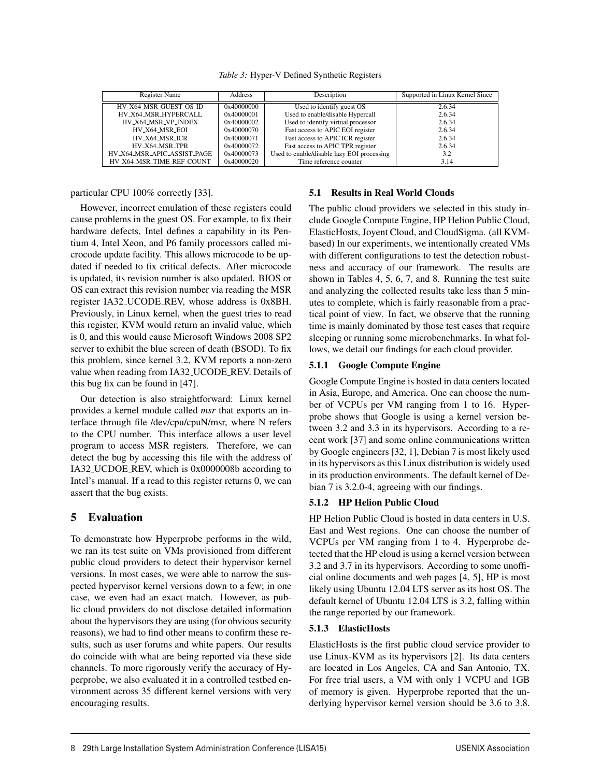*Table 3:* Hyper-V Defined Synthetic Registers

| Register Name               | <b>Address</b> | Description                                | Supported in Linux Kernel Since |
|-----------------------------|----------------|--------------------------------------------|---------------------------------|
| HV_X64_MSR_GUEST_OS_ID      | 0x40000000     | Used to identify guest OS                  | 2.6.34                          |
| HV_X64_MSR_HYPERCALL        | 0x40000001     | Used to enable/disable Hypercall           | 2.6.34                          |
| HV X64 MSR VP INDEX         | 0x40000002     | Used to identify virtual processor         | 2.6.34                          |
| HV_X64_MSR_EOI              | 0x40000070     | Fast access to APIC EOI register           | 2.6.34                          |
| HV_X64_MSR_ICR              | 0x40000071     | Fast access to APIC ICR register           | 2.6.34                          |
| HV_X64_MSR_TPR              | 0x40000072     | Fast access to APIC TPR register           | 2.6.34                          |
| HV_X64_MSR_APIC_ASSIST_PAGE | 0x40000073     | Used to enable/disable lazy EOI processing | 3.2                             |
| HV_X64_MSR_TIME_REF_COUNT   | 0x40000020     | Time reference counter                     | 3.14                            |

particular CPU 100% correctly [33].

However, incorrect emulation of these registers could cause problems in the guest OS. For example, to fix their hardware defects, Intel defines a capability in its Pentium 4, Intel Xeon, and P6 family processors called microcode update facility. This allows microcode to be updated if needed to fix critical defects. After microcode is updated, its revision number is also updated. BIOS or OS can extract this revision number via reading the MSR register IA32 UCODE REV, whose address is 0x8BH. Previously, in Linux kernel, when the guest tries to read this register, KVM would return an invalid value, which is 0, and this would cause Microsoft Windows 2008 SP2 server to exhibit the blue screen of death (BSOD). To fix this problem, since kernel 3.2, KVM reports a non-zero value when reading from IA32 UCODE REV. Details of this bug fix can be found in [47].

Our detection is also straightforward: Linux kernel provides a kernel module called *msr* that exports an interface through file /dev/cpu/cpuN/msr, where N refers to the CPU number. This interface allows a user level program to access MSR registers. Therefore, we can detect the bug by accessing this file with the address of IA32 UCDOE REV, which is 0x0000008b according to Intel's manual. If a read to this register returns 0, we can assert that the bug exists.

## 5 Evaluation

To demonstrate how Hyperprobe performs in the wild, we ran its test suite on VMs provisioned from different public cloud providers to detect their hypervisor kernel versions. In most cases, we were able to narrow the suspected hypervisor kernel versions down to a few; in one case, we even had an exact match. However, as public cloud providers do not disclose detailed information about the hypervisors they are using (for obvious security reasons), we had to find other means to confirm these results, such as user forums and white papers. Our results do coincide with what are being reported via these side channels. To more rigorously verify the accuracy of Hyperprobe, we also evaluated it in a controlled testbed environment across 35 different kernel versions with very encouraging results.

### 5.1 Results in Real World Clouds

The public cloud providers we selected in this study include Google Compute Engine, HP Helion Public Cloud, ElasticHosts, Joyent Cloud, and CloudSigma. (all KVMbased) In our experiments, we intentionally created VMs with different configurations to test the detection robustness and accuracy of our framework. The results are shown in Tables 4, 5, 6, 7, and 8. Running the test suite and analyzing the collected results take less than 5 minutes to complete, which is fairly reasonable from a practical point of view. In fact, we observe that the running time is mainly dominated by those test cases that require sleeping or running some microbenchmarks. In what follows, we detail our findings for each cloud provider.

### 5.1.1 Google Compute Engine

Google Compute Engine is hosted in data centers located in Asia, Europe, and America. One can choose the number of VCPUs per VM ranging from 1 to 16. Hyperprobe shows that Google is using a kernel version between 3.2 and 3.3 in its hypervisors. According to a recent work [37] and some online communications written by Google engineers [32, 1], Debian 7 is most likely used in its hypervisors as this Linux distribution is widely used in its production environments. The default kernel of Debian 7 is 3.2.0-4, agreeing with our findings.

## 5.1.2 HP Helion Public Cloud

HP Helion Public Cloud is hosted in data centers in U.S. East and West regions. One can choose the number of VCPUs per VM ranging from 1 to 4. Hyperprobe detected that the HP cloud is using a kernel version between 3.2 and 3.7 in its hypervisors. According to some unofficial online documents and web pages [4, 5], HP is most likely using Ubuntu 12.04 LTS server as its host OS. The default kernel of Ubuntu 12.04 LTS is 3.2, falling within the range reported by our framework.

## 5.1.3 ElasticHosts

8

ElasticHosts is the first public cloud service provider to use Linux-KVM as its hypervisors [2]. Its data centers are located in Los Angeles, CA and San Antonio, TX. For free trial users, a VM with only 1 VCPU and 1GB of memory is given. Hyperprobe reported that the underlying hypervisor kernel version should be 3.6 to 3.8.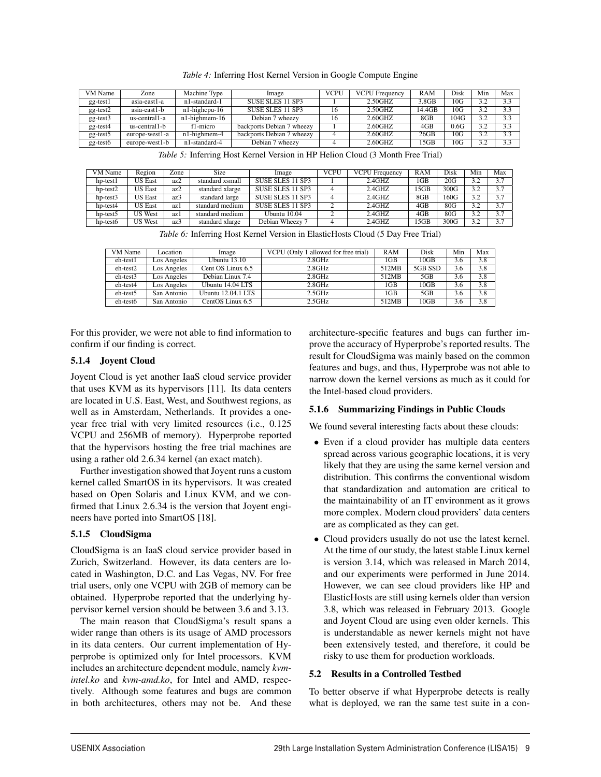| VM Name        | Zone           | Machine Type     | Image                     | <b>VCPU</b> | <b>VCPU</b> Frequency | RAM    | Disk | Min | Max               |
|----------------|----------------|------------------|---------------------------|-------------|-----------------------|--------|------|-----|-------------------|
| gg-test1       | asia-east1-a   | n1-standard-1    | SUSE SLES 11 SP3          |             | 2.50GHZ               | 3.8GB  | 10G  | 32  | 3.3               |
| gg-test2       | asia-east1-b   | $n1$ -highcpu-16 | SUSE SLES 11 SP3          | 16          | 2.50GHZ               | 14.4GB | 10G  | 39  | 3.3               |
| gg-test3       | us-central1-a  | $n1$ -highmem-16 | Debian 7 wheezy           | 16          | 2.60GHZ               | 8GB    | 104G | 32  | 3.3               |
| $gg$ -test $4$ | us-central1-b  | f1-micro         | backports Debian 7 wheezy |             | $2.60$ GHZ            | $4G$ B | 0.6G | 32  | $\overline{3}$ .3 |
| gg-test5       | europe-west1-a | n1-highmem-4     | backports Debian 7 wheezy |             | $2.60$ GHZ            | 26GB   | 10G  | 39  | 3.3               |
| gg-test6       | europe-west1-b | n1-standard-4    | Debian 7 wheezy           |             | 2.60GHZ               | 15GB   | 10G  | 32  | 3.3               |

*Table 4:* Inferring Host Kernel Version in Google Compute Engine

*Table 5:* Inferring Host Kernel Version in HP Helion Cloud (3 Month Free Trial)

| VM Name  | Region         | Zone | Size            | Image            | <b>VCPU</b> | <b>VCPU</b> Frequency | RAM             | Disk | Min | Max |
|----------|----------------|------|-----------------|------------------|-------------|-----------------------|-----------------|------|-----|-----|
| hp-test1 | <b>US East</b> | az2  | standard xsmall | SUSE SLES 11 SP3 |             | $2.4$ GHZ             | 1 <sub>GB</sub> | 20G  | 3.2 | 3.7 |
| hp-test2 | <b>US East</b> | az2  | standard xlarge | SUSE SLES 11 SP3 |             | $2.4$ GHZ             | 15GB            | 300G | 3.2 | 3.7 |
| hp-test3 | <b>US East</b> | az3  | standard large  | SUSE SLES 11 SP3 |             | $2.4$ GHZ             | 8GB             | 160G | 3.2 | 3.7 |
| hp-test4 | <b>US East</b> | az l | standard medium | SUSE SLES 11 SP3 |             | $2.4$ GHZ             | 4GB             | 80G  | 3.2 | 3.7 |
| hp-test5 | US West        | az l | standard medium | Ubuntu 10.04     |             | $2.4$ GHZ             | $4G$ B          | 80G  | 3.2 | 3.7 |
| hp-test6 | US West        | az3  | standard xlarge | Debian Wheezy 7  |             | $2.4$ GHZ             | 15GB            | 300G | 3.2 | 3.7 |

*Table 6:* Inferring Host Kernel Version in ElasticHosts Cloud (5 Day Free Trial)

| VM Name  | Location    | Image              | VCPU (Only 1 allowed for free trial) | <b>RAM</b>      | Disk    | Min | Max |
|----------|-------------|--------------------|--------------------------------------|-----------------|---------|-----|-----|
| eh-test1 | Los Angeles | Ubuntu $13.10$     | 2.8GHz                               | 1GB             | 10GB    | 3.6 | 3.8 |
| eh-test2 | Los Angeles | Cent OS Linux 6.5  | 2.8GHz                               | 512MB           | 5GB SSD | 3.6 | 3.8 |
| eh-test3 | Los Angeles | Debian Linux 7.4   | 2.8GHz                               | 512MB           | 5GB     | 3.6 | 3.8 |
| eh-test4 | Los Angeles | Ubuntu 14.04 LTS   | 2.8GHz                               | 1 <sub>GB</sub> | 10GB    | 3.6 | 3.8 |
| eh-test5 | San Antonio | Ubuntu 12.04.1 LTS | 2.5GHz                               | 1 <sub>GB</sub> | 5GB     | 3.6 | 3.8 |
| eh-test6 | San Antonio | CentOS Linux 6.5   | 2.5GHz                               | 512MB           | 10GB    | 3.6 | 3.8 |

9

For this provider, we were not able to find information to confirm if our finding is correct.

## 5.1.4 Joyent Cloud

Joyent Cloud is yet another IaaS cloud service provider that uses KVM as its hypervisors [11]. Its data centers are located in U.S. East, West, and Southwest regions, as well as in Amsterdam, Netherlands. It provides a oneyear free trial with very limited resources (i.e., 0.125 VCPU and 256MB of memory). Hyperprobe reported that the hypervisors hosting the free trial machines are using a rather old 2.6.34 kernel (an exact match).

Further investigation showed that Joyent runs a custom kernel called SmartOS in its hypervisors. It was created based on Open Solaris and Linux KVM, and we confirmed that Linux 2.6.34 is the version that Joyent engineers have ported into SmartOS [18].

## 5.1.5 CloudSigma

CloudSigma is an IaaS cloud service provider based in Zurich, Switzerland. However, its data centers are located in Washington, D.C. and Las Vegas, NV. For free trial users, only one VCPU with 2GB of memory can be obtained. Hyperprobe reported that the underlying hypervisor kernel version should be between 3.6 and 3.13.

The main reason that CloudSigma's result spans a wider range than others is its usage of AMD processors in its data centers. Our current implementation of Hyperprobe is optimized only for Intel processors. KVM includes an architecture dependent module, namely *kvmintel.ko* and *kvm-amd.ko*, for Intel and AMD, respectively. Although some features and bugs are common in both architectures, others may not be. And these architecture-specific features and bugs can further improve the accuracy of Hyperprobe's reported results. The result for CloudSigma was mainly based on the common features and bugs, and thus, Hyperprobe was not able to narrow down the kernel versions as much as it could for the Intel-based cloud providers.

## 5.1.6 Summarizing Findings in Public Clouds

We found several interesting facts about these clouds:

- Even if a cloud provider has multiple data centers spread across various geographic locations, it is very likely that they are using the same kernel version and distribution. This confirms the conventional wisdom that standardization and automation are critical to the maintainability of an IT environment as it grows more complex. Modern cloud providers' data centers are as complicated as they can get.
- Cloud providers usually do not use the latest kernel. At the time of our study, the latest stable Linux kernel is version 3.14, which was released in March 2014, and our experiments were performed in June 2014. However, we can see cloud providers like HP and ElasticHosts are still using kernels older than version 3.8, which was released in February 2013. Google and Joyent Cloud are using even older kernels. This is understandable as newer kernels might not have been extensively tested, and therefore, it could be risky to use them for production workloads.

## 5.2 Results in a Controlled Testbed

To better observe if what Hyperprobe detects is really what is deployed, we ran the same test suite in a con-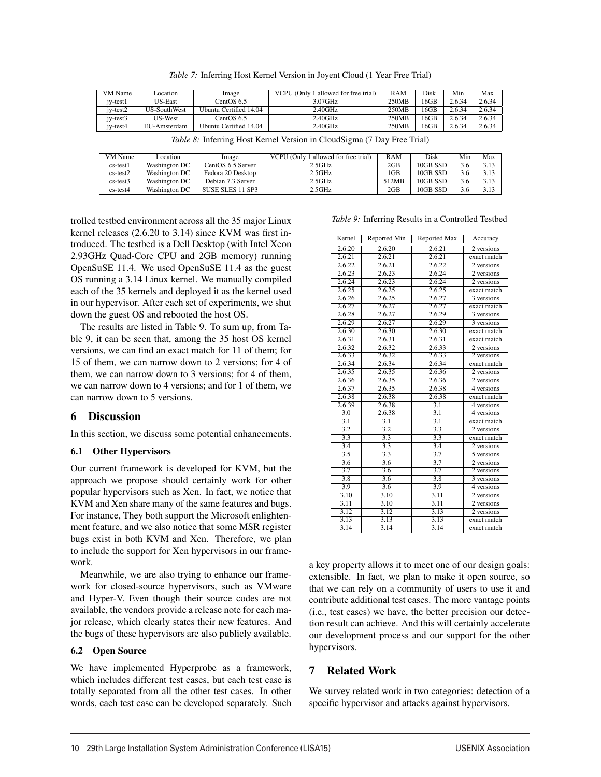| VM Name  | Location            | Image                  | VCPU (Only 1 allowed for free trial) | RAM   | Disk | Min    | Max    |
|----------|---------------------|------------------------|--------------------------------------|-------|------|--------|--------|
| iv-test1 | <b>US-East</b>      | CentOS 6.5             | 3.07GHz                              | 250MB | 16GB | 2.6.34 | 2.6.34 |
| iv-test2 | <b>US-SouthWest</b> | Ubuntu Certified 14.04 | 2.40GHz                              | 250MB | 16GB | 2.6.34 | 2.6.34 |
| iv-test3 | US-West             | CentOS 6.5             | 2.40GHz                              | 250MB | 16GB | 2.6.34 | 2.6.34 |
| iv-test4 | EU-Amsterdam        | Ubuntu Certified 14.04 | 2.40GHz                              | 250MB | 16GB | 2.6.34 | 2.6.34 |

*Table 7:* Inferring Host Kernel Version in Joyent Cloud (1 Year Free Trial)

|  |  | Table 8: Inferring Host Kernel Version in CloudSigma (7 Day Free Trial) |  |  |
|--|--|-------------------------------------------------------------------------|--|--|
|  |  |                                                                         |  |  |

| VM Name    | <i>cation</i> | Image             | VCPU (Only 1 allowed for free trial) | RAM    | Disk     | Min | Max  |
|------------|---------------|-------------------|--------------------------------------|--------|----------|-----|------|
| $cs-test1$ | Washington DC | CentOS 6.5 Server | 2.5GHz                               | $2$ GB | 10GB SSD | 3.6 | 3.13 |
| $cs-test2$ | Washington DC | Fedora 20 Desktop | $2.5\mathrm{GHz}$                    | $1$ GB | 10GB SSD | 3.6 | 3.13 |
| $cs-test3$ | Washington DC | Debian 7.3 Server | 2.5GHz                               | 512MB  | 10GB SSD | 3.6 | 3.13 |
| $cs-test4$ | Washington DC | SUSE SLES 11 SP3  | 2.5GHz                               | 2GB    | 10GB SSD | 3.6 | 3.13 |

trolled testbed environment across all the 35 major Linux kernel releases (2.6.20 to 3.14) since KVM was first introduced. The testbed is a Dell Desktop (with Intel Xeon 2.93GHz Quad-Core CPU and 2GB memory) running OpenSuSE 11.4. We used OpenSuSE 11.4 as the guest OS running a 3.14 Linux kernel. We manually compiled each of the 35 kernels and deployed it as the kernel used in our hypervisor. After each set of experiments, we shut down the guest OS and rebooted the host OS.

The results are listed in Table 9. To sum up, from Table 9, it can be seen that, among the 35 host OS kernel versions, we can find an exact match for 11 of them; for 15 of them, we can narrow down to 2 versions; for 4 of them, we can narrow down to 3 versions; for 4 of them, we can narrow down to 4 versions; and for 1 of them, we can narrow down to 5 versions.

## 6 Discussion

In this section, we discuss some potential enhancements.

#### 6.1 Other Hypervisors

Our current framework is developed for KVM, but the approach we propose should certainly work for other popular hypervisors such as Xen. In fact, we notice that KVM and Xen share many of the same features and bugs. For instance, They both support the Microsoft enlightenment feature, and we also notice that some MSR register bugs exist in both KVM and Xen. Therefore, we plan to include the support for Xen hypervisors in our framework.

Meanwhile, we are also trying to enhance our framework for closed-source hypervisors, such as VMware and Hyper-V. Even though their source codes are not available, the vendors provide a release note for each major release, which clearly states their new features. And the bugs of these hypervisors are also publicly available.

#### 6.2 Open Source

We have implemented Hyperprobe as a framework, which includes different test cases, but each test case is totally separated from all the other test cases. In other words, each test case can be developed separately. Such

*Table 9:* Inferring Results in a Controlled Testbed

| Kernel              | Reported Min        | <b>Reported Max</b> | Accuracy                |
|---------------------|---------------------|---------------------|-------------------------|
| 2.6.20              | 2.6.20              | 2.6.21              | 2 versions              |
| 2.6.21              | 2.6.21              | 2.6.21              | exact match             |
| 2.6.22              | 2.6.21              | 2.6.22              | 2 versions              |
| 2.6.23              | 2.6.23              | 2.6.24              | 2 versions              |
| 2.6.24              | 2.6.23              | 2.6.24              | 2 versions              |
| 2.6.25              | 2.6.25              | 2.6.25              | exact match             |
| 2.6.26              | 2.6.25              | 2.6.27              | 3 versions              |
| 2.6.27              | 2.6.27              | 2.6.27              | exact match             |
| 2.6.28              | 2.6.27              | 2.6.29              | 3 versions              |
| 2.6.29              | 2.6.27              | 2.6.29              | 3 versions              |
| 2.6.30              | 2.6.30              | 2.6.30              | exact match             |
| 2.6.31              | 2.6.31              | 2.6.31              | exact match             |
| $2.\overline{6.32}$ | 2.6.32              | $2.\overline{6.33}$ | 2 versions              |
| 2.6.33              | $2.\overline{6.32}$ | 2.6.33              | 2 versions              |
| 2.6.34              | 2.6.34              | $2.\overline{6.34}$ | exact match             |
| 2.6.35              | 2.6.35              | 2.6.36              | 2 versions              |
| 2.6.36              | 2.6.35              | $2.\overline{6.36}$ | 2 versions              |
| 2.6.37              | 2.6.35              | 2.6.38              | 4 versions              |
| 2.6.38              | 2.6.38              | 2.6.38              | exact match             |
| 2.6.39              | 2.6.38              | 3.1                 | 4 versions              |
| $\overline{3.0}$    | 2.6.38              | $\overline{3.1}$    | 4 versions              |
| $\overline{3.1}$    | $\overline{3.1}$    | $\overline{3.1}$    | exact match             |
| 3.2                 | 3.2                 | 3.3                 | 2 versions              |
| 3.3                 | 3.3                 | $\overline{3.3}$    | exact match             |
| $\overline{3.4}$    | $\overline{3.3}$    | $\overline{3.4}$    | 2 versions              |
| $\overline{3.5}$    | 3.3                 | 3.7                 | 5 versions              |
| 3.6                 | $\overline{3.6}$    | 3.7                 | 2 versions              |
| $\overline{3.7}$    | $\overline{3.6}$    | $\overline{3.7}$    | 2 versions              |
| $\overline{3.8}$    | 3.6                 | $\overline{3.8}$    | $\overline{3}$ versions |
| 3.9                 | 3.6                 | 3.9                 | 4 versions              |
| 3.10                | 3.10                | 3.11                | 2 versions              |
| 3.11                | 3.10                | 3.11                | 2 versions              |
| 3.12                | 3.12                | 3.13                | 2 versions              |
| 3.13                | 3.13                | 3.13                | exact match             |
| 3.14                | $\overline{3.14}$   | $\frac{3.14}{2.14}$ | exact match             |

a key property allows it to meet one of our design goals: extensible. In fact, we plan to make it open source, so that we can rely on a community of users to use it and contribute additional test cases. The more vantage points (i.e., test cases) we have, the better precision our detection result can achieve. And this will certainly accelerate our development process and our support for the other hypervisors.

## 7 Related Work

10

We survey related work in two categories: detection of a specific hypervisor and attacks against hypervisors.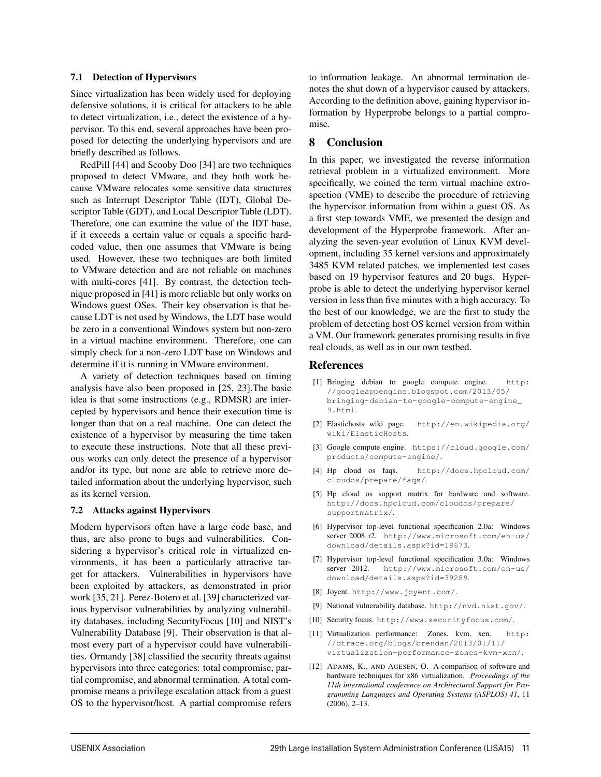#### 7.1 Detection of Hypervisors

Since virtualization has been widely used for deploying defensive solutions, it is critical for attackers to be able to detect virtualization, i.e., detect the existence of a hypervisor. To this end, several approaches have been proposed for detecting the underlying hypervisors and are briefly described as follows.

RedPill [44] and Scooby Doo [34] are two techniques proposed to detect VMware, and they both work because VMware relocates some sensitive data structures such as Interrupt Descriptor Table (IDT), Global Descriptor Table (GDT), and Local Descriptor Table (LDT). Therefore, one can examine the value of the IDT base, if it exceeds a certain value or equals a specific hardcoded value, then one assumes that VMware is being used. However, these two techniques are both limited to VMware detection and are not reliable on machines with multi-cores [41]. By contrast, the detection technique proposed in [41] is more reliable but only works on Windows guest OSes. Their key observation is that because LDT is not used by Windows, the LDT base would be zero in a conventional Windows system but non-zero in a virtual machine environment. Therefore, one can simply check for a non-zero LDT base on Windows and determine if it is running in VMware environment.

A variety of detection techniques based on timing analysis have also been proposed in [25, 23].The basic idea is that some instructions (e.g., RDMSR) are intercepted by hypervisors and hence their execution time is longer than that on a real machine. One can detect the existence of a hypervisor by measuring the time taken to execute these instructions. Note that all these previous works can only detect the presence of a hypervisor and/or its type, but none are able to retrieve more detailed information about the underlying hypervisor, such as its kernel version.

#### 7.2 Attacks against Hypervisors

Modern hypervisors often have a large code base, and thus, are also prone to bugs and vulnerabilities. Considering a hypervisor's critical role in virtualized environments, it has been a particularly attractive target for attackers. Vulnerabilities in hypervisors have been exploited by attackers, as demonstrated in prior work [35, 21]. Perez-Botero et al. [39] characterized various hypervisor vulnerabilities by analyzing vulnerability databases, including SecurityFocus [10] and NIST's Vulnerability Database [9]. Their observation is that almost every part of a hypervisor could have vulnerabilities. Ormandy [38] classified the security threats against hypervisors into three categories: total compromise, partial compromise, and abnormal termination. A total compromise means a privilege escalation attack from a guest OS to the hypervisor/host. A partial compromise refers to information leakage. An abnormal termination denotes the shut down of a hypervisor caused by attackers. According to the definition above, gaining hypervisor information by Hyperprobe belongs to a partial compromise.

## 8 Conclusion

In this paper, we investigated the reverse information retrieval problem in a virtualized environment. More specifically, we coined the term virtual machine extrospection (VME) to describe the procedure of retrieving the hypervisor information from within a guest OS. As a first step towards VME, we presented the design and development of the Hyperprobe framework. After analyzing the seven-year evolution of Linux KVM development, including 35 kernel versions and approximately 3485 KVM related patches, we implemented test cases based on 19 hypervisor features and 20 bugs. Hyperprobe is able to detect the underlying hypervisor kernel version in less than five minutes with a high accuracy. To the best of our knowledge, we are the first to study the problem of detecting host OS kernel version from within a VM. Our framework generates promising results in five real clouds, as well as in our own testbed.

#### References

- [1] Bringing debian to google compute engine. http: //googleappengine.blogspot.com/2013/05/ bringing-debian-to-google-compute-engine\_ 9.html.
- [2] Elastichosts wiki page. <http://en.wikipedia.org/> wiki/ElasticHosts.
- [3] Google compute engine. <https://cloud.google.com/> products/compute-engine/.
- [4] Hp cloud os faqs. <http://docs.hpcloud.com/> cloudos/prepare/faqs/.
- [5] Hp cloud os support matrix for hardware and software. <http://docs.hpcloud.com/cloudos/prepare/> supportmatrix/.
- [6] Hypervisor top-level functional specification 2.0a: Windows server 2008 r2. <http://www.microsoft.com/en-us/> download/details.aspx?id=18673.
- [7] Hypervisor top-level functional specification 3.0a: Windows server 2012. <http://www.microsoft.com/en-us/> download/details.aspx?id=39289.
- [8] Joyent. <http://www.joyent.com/>.
- [9] National vulnerability database. <http://nvd.nist.gov/>.
- [10] Security focus. <http://www.securityfocus.com/>.
- [11] Virtualization performance: Zones, kvm, xen. http: //dtrace.org/blogs/brendan/2013/01/11/ virtualization-performance-zones-kvm-xen/.
- [12] ADAMS, K., AND AGESEN, O. A comparison of software and hardware techniques for x86 virtualization. *Proceedings of the 11th international conference on Architectural Support for Programming Languages and Operating Systems (ASPLOS) 41*, 11 (2006), 2–13.